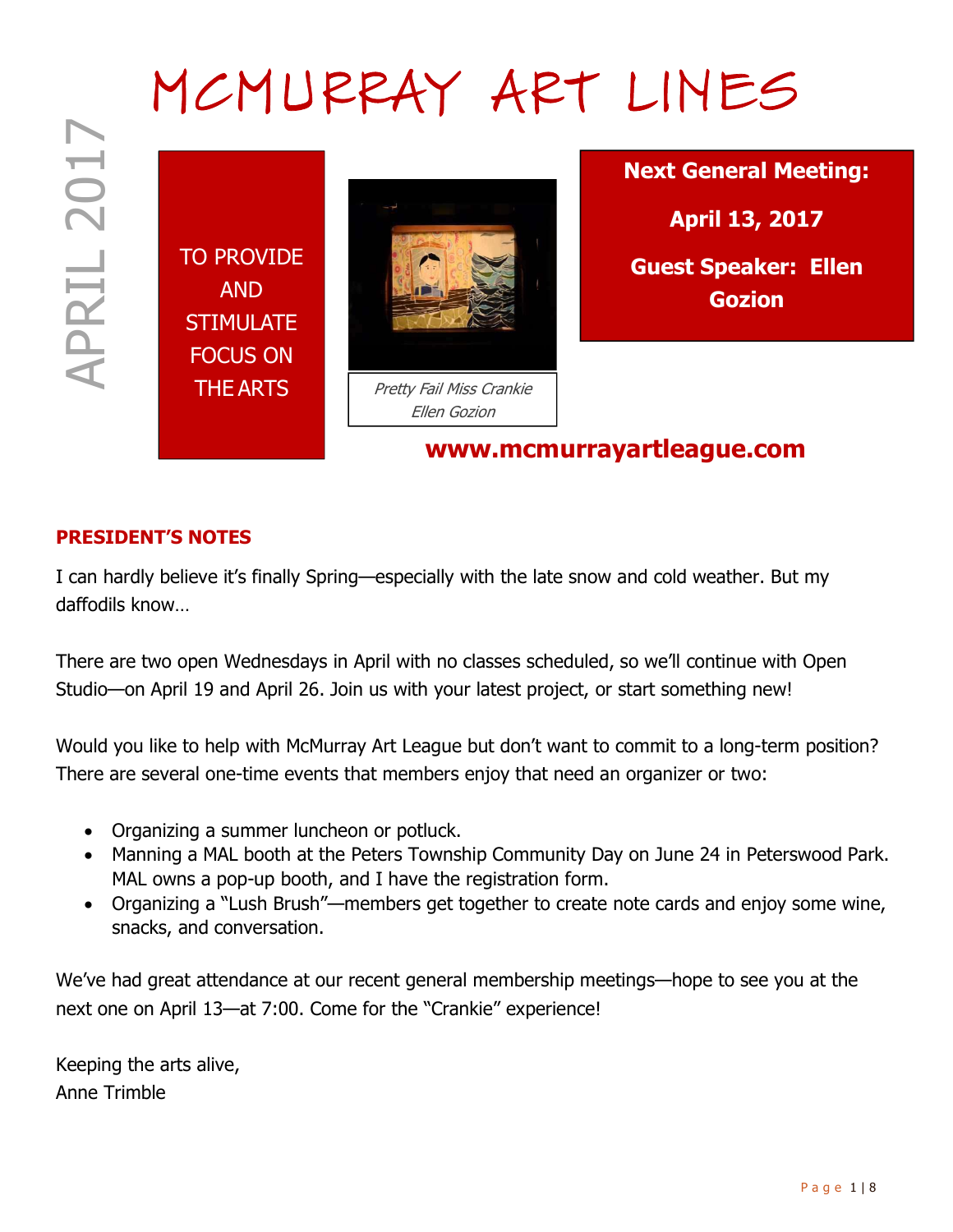# MCMURRAY ART LINES

TO PROVIDE AND **STIMULATE** FOCUS ON



THE ARTS **Pretty Fail Miss Crankie** Ellen Gozion

Next General Meeting:

April 13, 2017

Guest Speaker: Ellen Gozion

www.mcmurrayartleague.com

## PRESIDENT'S NOTES

I can hardly believe it's finally Spring—especially with the late snow and cold weather. But my daffodils know…

There are two open Wednesdays in April with no classes scheduled, so we'll continue with Open Studio—on April 19 and April 26. Join us with your latest project, or start something new!

Would you like to help with McMurray Art League but don't want to commit to a long-term position? There are several one-time events that members enjoy that need an organizer or two:

- Organizing a summer luncheon or potluck.
- Manning a MAL booth at the Peters Township Community Day on June 24 in Peterswood Park. MAL owns a pop-up booth, and I have the registration form.
- Organizing a "Lush Brush"—members get together to create note cards and enjoy some wine, snacks, and conversation.

We've had great attendance at our recent general membership meetings—hope to see you at the next one on April 13—at 7:00. Come for the "Crankie" experience!

Keeping the arts alive, Anne Trimble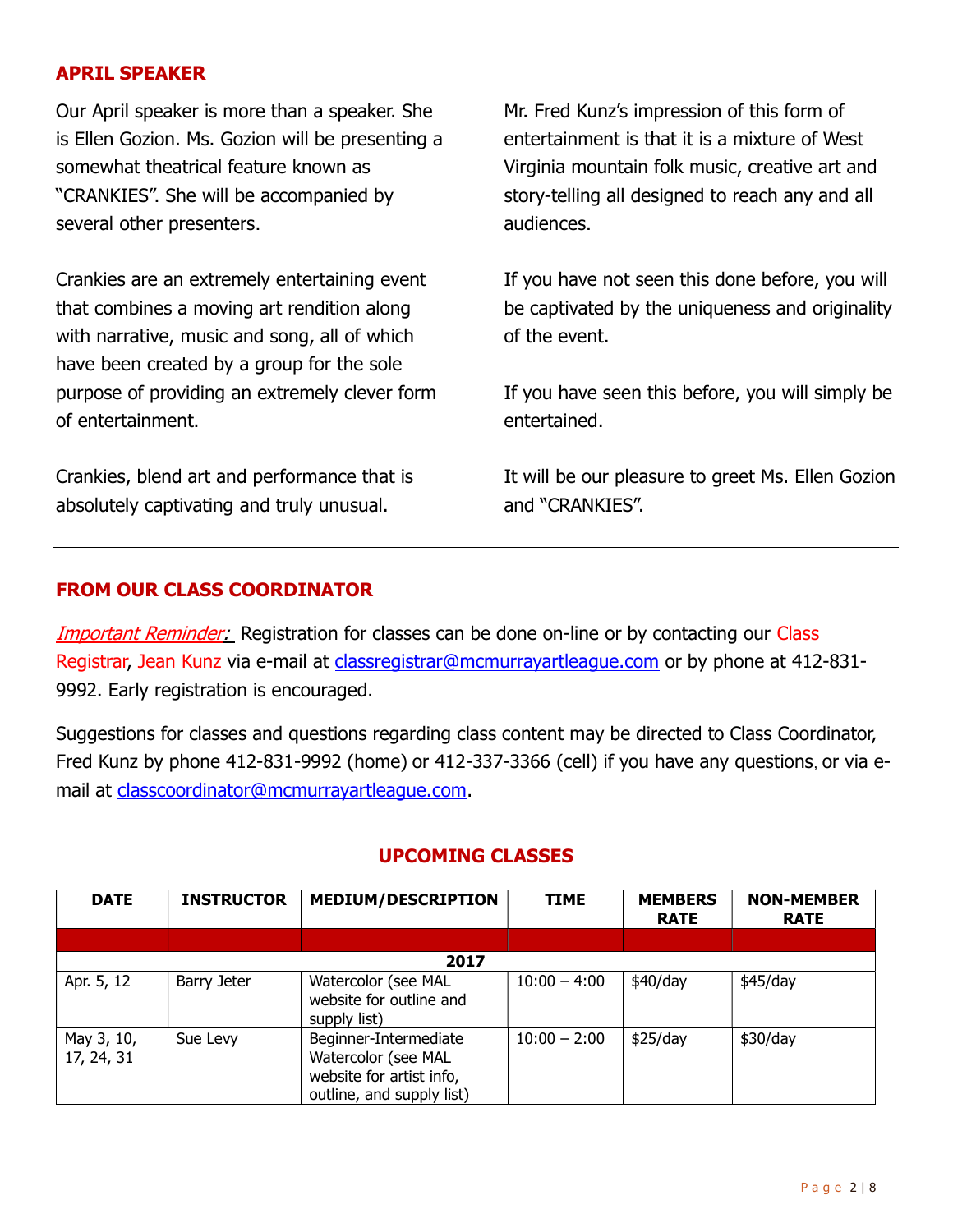#### APRIL SPEAKER

Our April speaker is more than a speaker. She is Ellen Gozion. Ms. Gozion will be presenting a somewhat theatrical feature known as "CRANKIES". She will be accompanied by several other presenters.

Crankies are an extremely entertaining event that combines a moving art rendition along with narrative, music and song, all of which have been created by a group for the sole purpose of providing an extremely clever form of entertainment.

Crankies, blend art and performance that is absolutely captivating and truly unusual.

Mr. Fred Kunz's impression of this form of entertainment is that it is a mixture of West Virginia mountain folk music, creative art and story-telling all designed to reach any and all audiences.

If you have not seen this done before, you will be captivated by the uniqueness and originality of the event.

If you have seen this before, you will simply be entertained.

It will be our pleasure to greet Ms. Ellen Gozion and "CRANKIES".

### FROM OUR CLASS COORDINATOR

Important Reminder: Registration for classes can be done on-line or by contacting our Class Registrar, Jean Kunz via e-mail at classregistrar@mcmurrayartleague.com or by phone at 412-831- 9992. Early registration is encouraged.

Suggestions for classes and questions regarding class content may be directed to Class Coordinator, Fred Kunz by phone 412-831-9992 (home) or 412-337-3366 (cell) if you have any questions, or via email at classcoordinator@mcmurrayartleague.com.

| <b>DATE</b>              | <b>INSTRUCTOR</b> | <b>MEDIUM/DESCRIPTION</b>                                                                             | <b>TIME</b>    | <b>MEMBERS</b><br><b>RATE</b> | <b>NON-MEMBER</b><br><b>RATE</b> |  |  |
|--------------------------|-------------------|-------------------------------------------------------------------------------------------------------|----------------|-------------------------------|----------------------------------|--|--|
|                          |                   |                                                                                                       |                |                               |                                  |  |  |
| 2017                     |                   |                                                                                                       |                |                               |                                  |  |  |
| Apr. 5, 12               | Barry Jeter       | Watercolor (see MAL<br>website for outline and<br>supply list)                                        | $10:00 - 4:00$ | \$40/day                      | \$45/day                         |  |  |
| May 3, 10,<br>17, 24, 31 | Sue Levy          | Beginner-Intermediate<br>Watercolor (see MAL<br>website for artist info,<br>outline, and supply list) | $10:00 - 2:00$ | \$25/day                      | \$30/day                         |  |  |

### UPCOMING CLASSES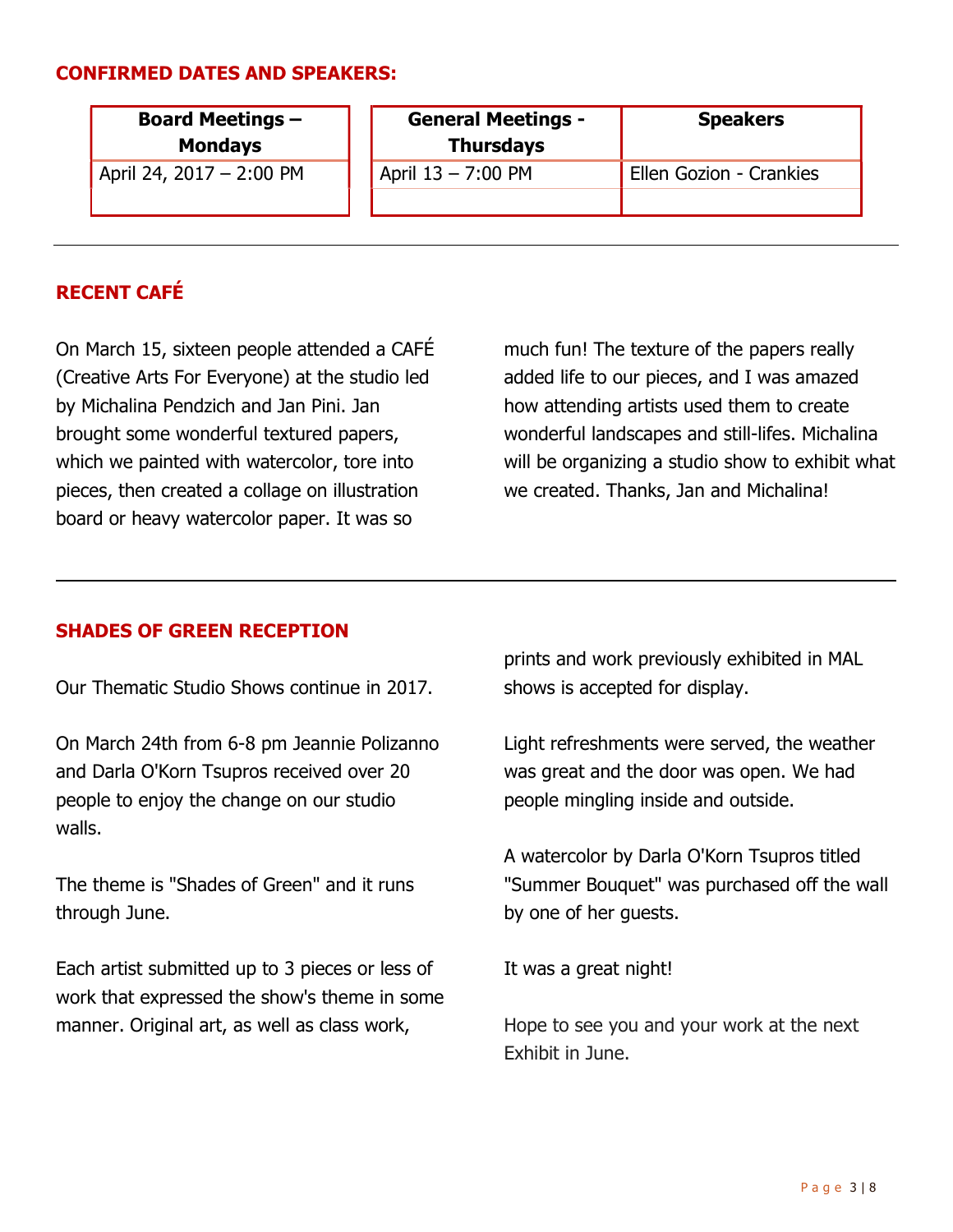#### CONFIRMED DATES AND SPEAKERS:

| <b>Board Meetings -</b><br><b>Mondays</b> | <b>General Meetings -</b><br><b>Thursdays</b> | <b>Speakers</b>         |
|-------------------------------------------|-----------------------------------------------|-------------------------|
| April 24, 2017 - 2:00 PM                  | April 13 - 7:00 PM                            | Ellen Gozion - Crankies |

## RECENT CAFÉ

On March 15, sixteen people attended a CAFÉ (Creative Arts For Everyone) at the studio led by Michalina Pendzich and Jan Pini. Jan brought some wonderful textured papers, which we painted with watercolor, tore into pieces, then created a collage on illustration board or heavy watercolor paper. It was so

much fun! The texture of the papers really added life to our pieces, and I was amazed how attending artists used them to create wonderful landscapes and still-lifes. Michalina will be organizing a studio show to exhibit what we created. Thanks, Jan and Michalina!

#### SHADES OF GREEN RECEPTION

Our Thematic Studio Shows continue in 2017.

On March 24th from 6-8 pm Jeannie Polizanno and Darla O'Korn Tsupros received over 20 people to enjoy the change on our studio walls.

The theme is "Shades of Green" and it runs through June.

Each artist submitted up to 3 pieces or less of work that expressed the show's theme in some manner. Original art, as well as class work,

prints and work previously exhibited in MAL shows is accepted for display.

Light refreshments were served, the weather was great and the door was open. We had people mingling inside and outside.

A watercolor by Darla O'Korn Tsupros titled "Summer Bouquet" was purchased off the wall by one of her guests.

It was a great night!

Hope to see you and your work at the next Exhibit in June.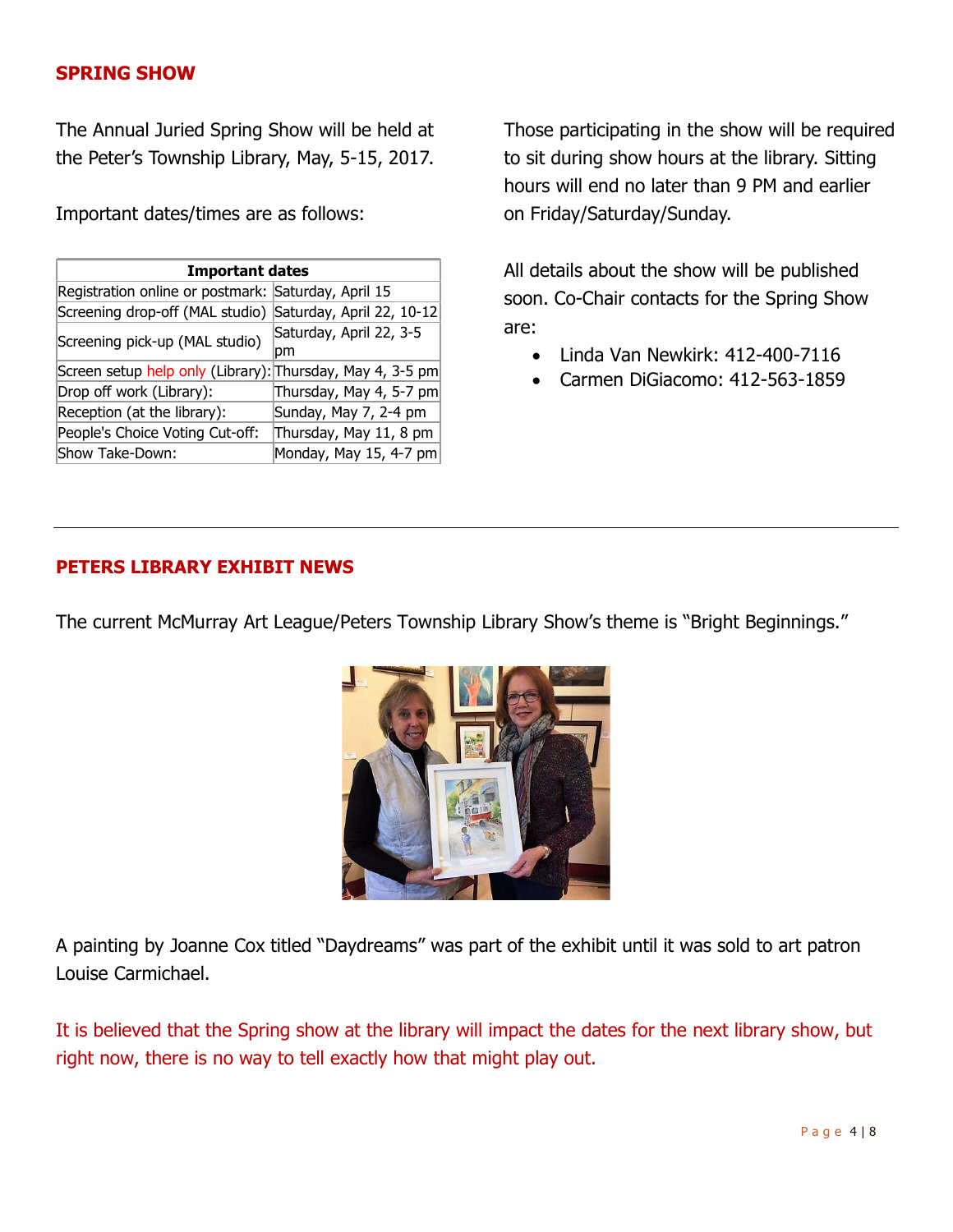#### SPRING SHOW

The Annual Juried Spring Show will be held at the Peter's Township Library, May, 5-15, 2017.

Important dates/times are as follows:

| <b>Important dates</b>                                    |                               |  |  |  |
|-----------------------------------------------------------|-------------------------------|--|--|--|
| Registration online or postmark: Saturday, April 15       |                               |  |  |  |
| Screening drop-off (MAL studio) Saturday, April 22, 10-12 |                               |  |  |  |
| Screening pick-up (MAL studio)                            | Saturday, April 22, 3-5<br>рm |  |  |  |
| Screen setup help only (Library): Thursday, May 4, 3-5 pm |                               |  |  |  |
| Drop off work (Library):                                  | Thursday, May 4, 5-7 pm       |  |  |  |
| Reception (at the library):                               | Sunday, May 7, 2-4 pm         |  |  |  |
| People's Choice Voting Cut-off:                           | Thursday, May 11, 8 pm        |  |  |  |
| Show Take-Down:                                           | Monday, May 15, 4-7 pm        |  |  |  |

Those participating in the show will be required to sit during show hours at the library. Sitting hours will end no later than 9 PM and earlier on Friday/Saturday/Sunday.

All details about the show will be published soon. Co-Chair contacts for the Spring Show are:

- Linda Van Newkirk: 412-400-7116
- Carmen DiGiacomo: 412-563-1859

#### PETERS LIBRARY EXHIBIT NEWS

The current McMurray Art League/Peters Township Library Show's theme is "Bright Beginnings."



A painting by Joanne Cox titled "Daydreams" was part of the exhibit until it was sold to art patron Louise Carmichael.

It is believed that the Spring show at the library will impact the dates for the next library show, but right now, there is no way to tell exactly how that might play out.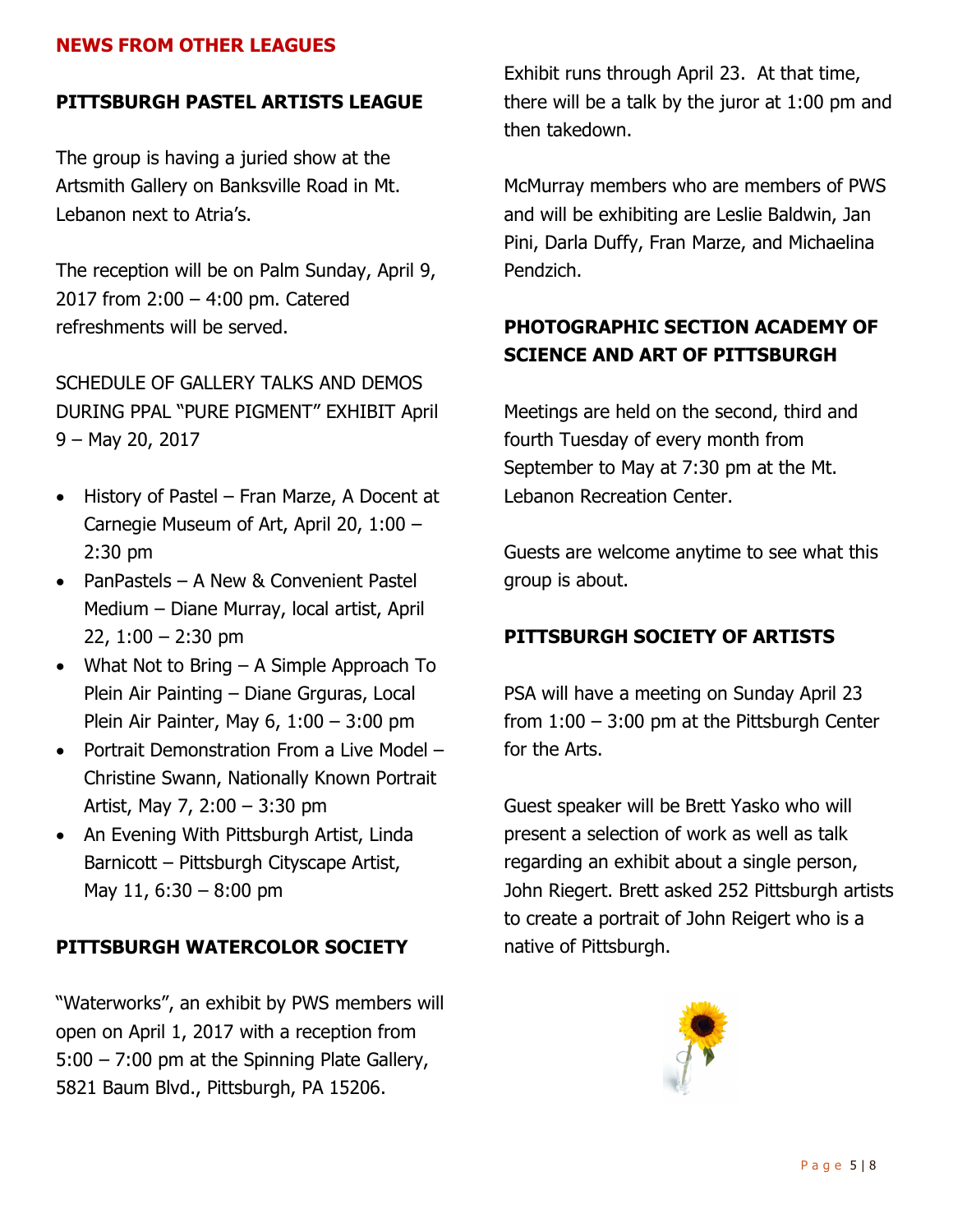## NEWS FROM OTHER LEAGUES

### PITTSBURGH PASTEL ARTISTS LEAGUE

The group is having a juried show at the Artsmith Gallery on Banksville Road in Mt. Lebanon next to Atria's.

The reception will be on Palm Sunday, April 9, 2017 from 2:00 – 4:00 pm. Catered refreshments will be served.

SCHEDULE OF GALLERY TALKS AND DEMOS DURING PPAL "PURE PIGMENT" EXHIBIT April 9 – May 20, 2017

- History of Pastel Fran Marze, A Docent at Carnegie Museum of Art, April 20, 1:00 – 2:30 pm
- PanPastels A New & Convenient Pastel Medium – Diane Murray, local artist, April 22,  $1:00 - 2:30$  pm
- What Not to Bring A Simple Approach To Plein Air Painting – Diane Grguras, Local Plein Air Painter, May 6, 1:00 – 3:00 pm
- Portrait Demonstration From a Live Model Christine Swann, Nationally Known Portrait Artist, May 7, 2:00 – 3:30 pm
- An Evening With Pittsburgh Artist, Linda Barnicott – Pittsburgh Cityscape Artist, May 11,  $6:30 - 8:00$  pm

#### PITTSBURGH WATERCOLOR SOCIETY

"Waterworks", an exhibit by PWS members will open on April 1, 2017 with a reception from 5:00 – 7:00 pm at the Spinning Plate Gallery, 5821 Baum Blvd., Pittsburgh, PA 15206.

Exhibit runs through April 23. At that time, there will be a talk by the juror at 1:00 pm and then takedown.

McMurray members who are members of PWS and will be exhibiting are Leslie Baldwin, Jan Pini, Darla Duffy, Fran Marze, and Michaelina Pendzich.

## PHOTOGRAPHIC SECTION ACADEMY OF SCIENCE AND ART OF PITTSBURGH

Meetings are held on the second, third and fourth Tuesday of every month from September to May at 7:30 pm at the Mt. Lebanon Recreation Center.

Guests are welcome anytime to see what this group is about.

#### PITTSBURGH SOCIETY OF ARTISTS

PSA will have a meeting on Sunday April 23 from 1:00 – 3:00 pm at the Pittsburgh Center for the Arts.

Guest speaker will be Brett Yasko who will present a selection of work as well as talk regarding an exhibit about a single person, John Riegert. Brett asked 252 Pittsburgh artists to create a portrait of John Reigert who is a native of Pittsburgh.

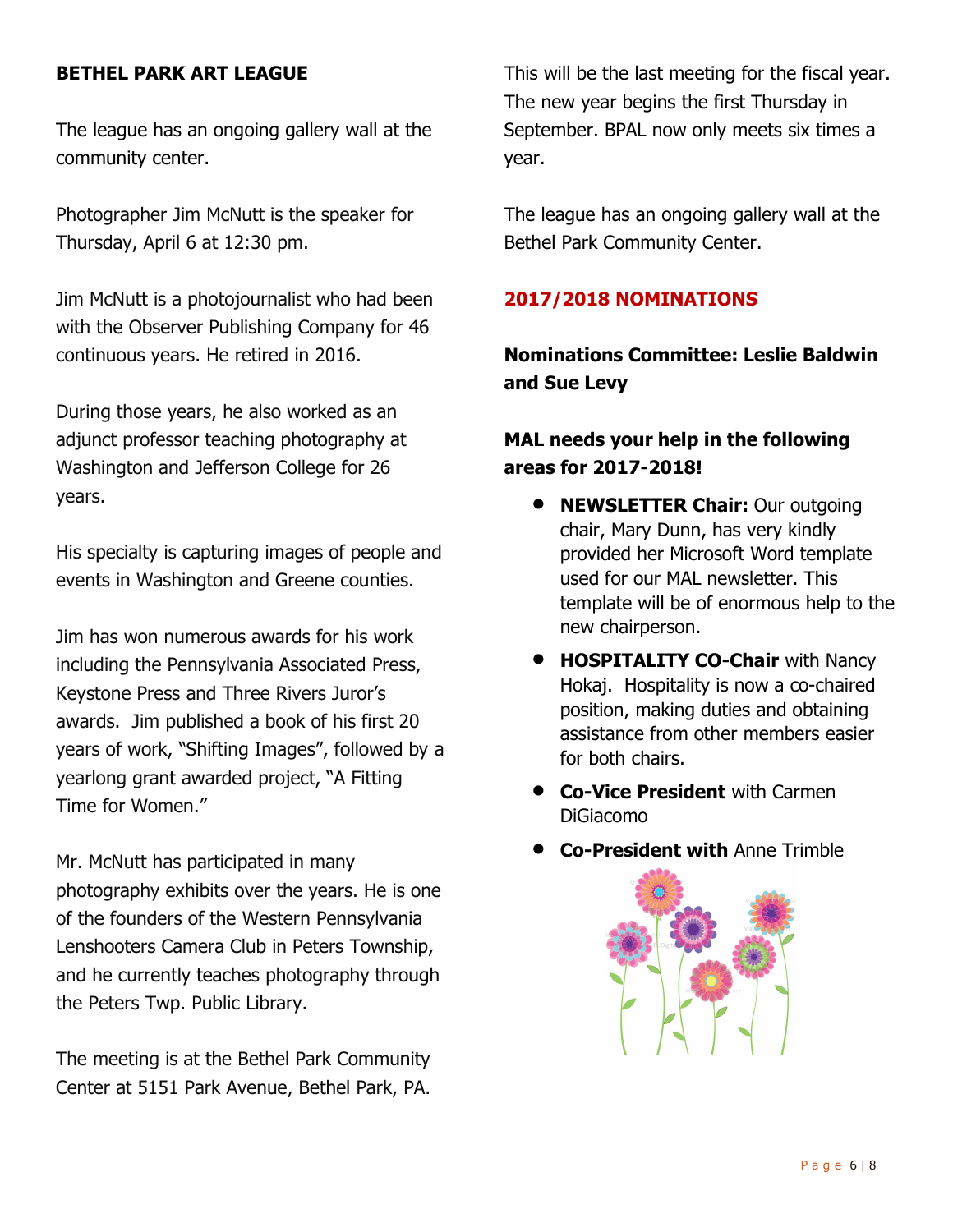## BETHEL PARK ART LEAGUE

The league has an ongoing gallery wall at the community center.

Photographer Jim McNutt is the speaker for Thursday, April 6 at 12:30 pm.

Jim McNutt is a photojournalist who had been with the Observer Publishing Company for 46 continuous years. He retired in 2016.

During those years, he also worked as an adjunct professor teaching photography at Washington and Jefferson College for 26 years.

His specialty is capturing images of people and events in Washington and Greene counties.

Jim has won numerous awards for his work including the Pennsylvania Associated Press, Keystone Press and Three Rivers Juror's awards. Jim published a book of his first 20 years of work, "Shifting Images", followed by a yearlong grant awarded project, "A Fitting Time for Women."

Mr. McNutt has participated in many photography exhibits over the years. He is one of the founders of the Western Pennsylvania Lenshooters Camera Club in Peters Township, and he currently teaches photography through the Peters Twp. Public Library.

The meeting is at the Bethel Park Community Center at 5151 Park Avenue, Bethel Park, PA.

This will be the last meeting for the fiscal year. The new year begins the first Thursday in September. BPAL now only meets six times a year.

The league has an ongoing gallery wall at the Bethel Park Community Center.

### 2017/2018 NOMINATIONS

Nominations Committee: Leslie Baldwin and Sue Levy

## MAL needs your help in the following areas for 2017-2018!

- NEWSLETTER Chair: Our outgoing chair, Mary Dunn, has very kindly provided her Microsoft Word template used for our MAL newsletter. This template will be of enormous help to the new chairperson.
- **HOSPITALITY CO-Chair with Nancy** Hokaj. Hospitality is now a co-chaired position, making duties and obtaining assistance from other members easier for both chairs.
- **Co-Vice President with Carmen** DiGiacomo
- Co-President with Anne Trimble

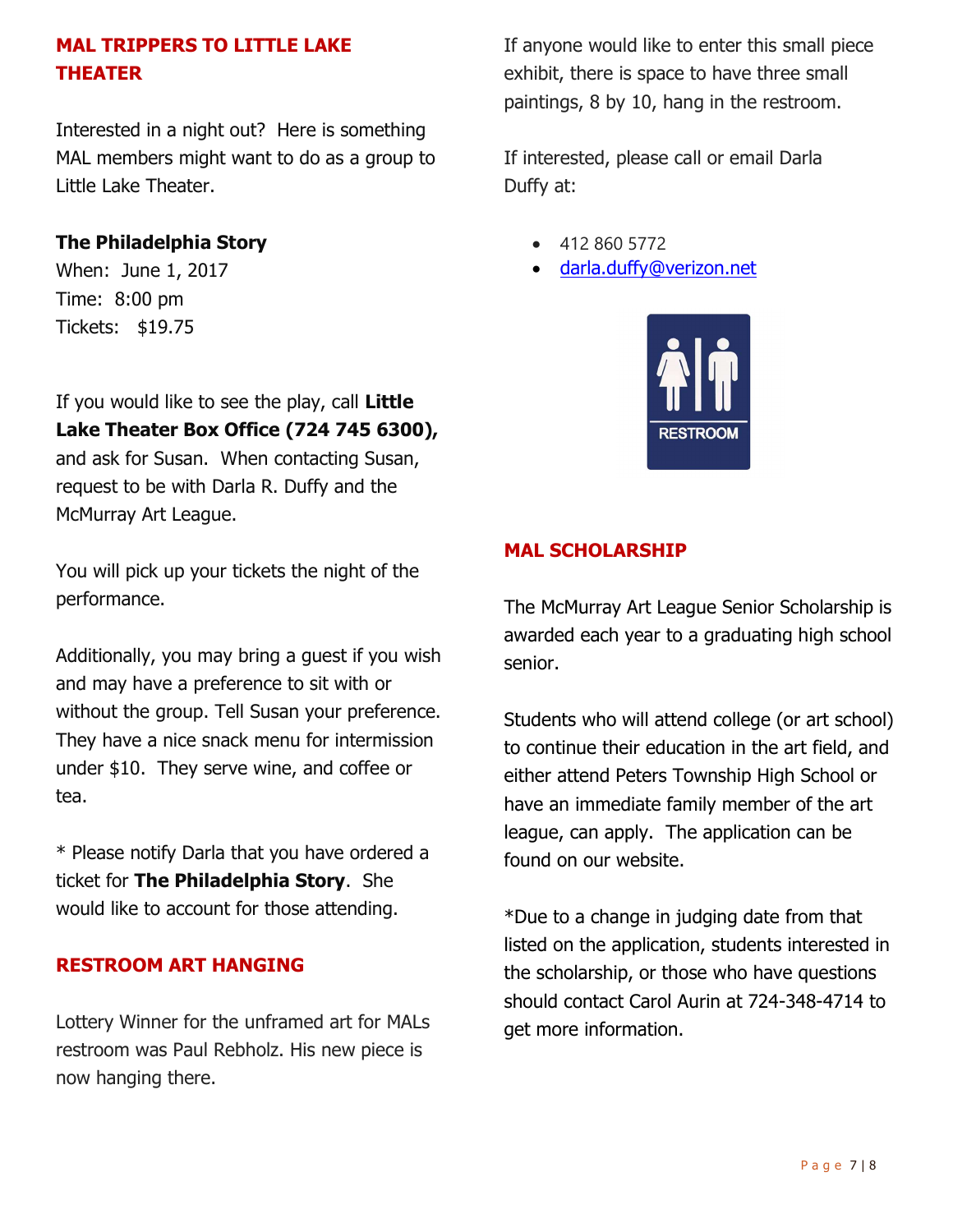## MAL TRIPPERS TO LITTLE LAKE THEATER

Interested in a night out? Here is something MAL members might want to do as a group to Little Lake Theater.

## The Philadelphia Story

When: June 1, 2017 Time: 8:00 pm Tickets: \$19.75

If you would like to see the play, call Little Lake Theater Box Office (724 745 6300), and ask for Susan. When contacting Susan, request to be with Darla R. Duffy and the McMurray Art League.

You will pick up your tickets the night of the performance.

Additionally, you may bring a guest if you wish and may have a preference to sit with or without the group. Tell Susan your preference. They have a nice snack menu for intermission under \$10. They serve wine, and coffee or tea.

\* Please notify Darla that you have ordered a ticket for The Philadelphia Story. She would like to account for those attending.

## RESTROOM ART HANGING

Lottery Winner for the unframed art for MALs restroom was Paul Rebholz. His new piece is now hanging there.

If anyone would like to enter this small piece exhibit, there is space to have three small paintings, 8 by 10, hang in the restroom.

If interested, please call or email Darla Duffy at:

- 412 860 5772
- darla.duffy@verizon.net



## MAL SCHOLARSHIP

The McMurray Art League Senior Scholarship is awarded each year to a graduating high school senior.

Students who will attend college (or art school) to continue their education in the art field, and either attend Peters Township High School or have an immediate family member of the art league, can apply. The application can be found on our website.

\*Due to a change in judging date from that listed on the application, students interested in the scholarship, or those who have questions should contact Carol Aurin at 724-348-4714 to get more information.